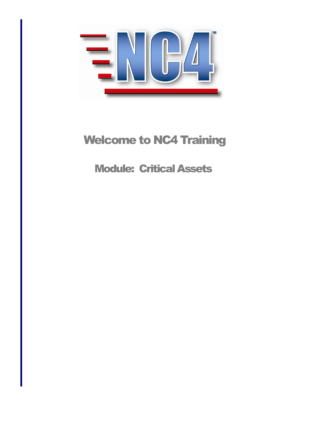

# Welcome to NC4 Training

# Module: Critical Assets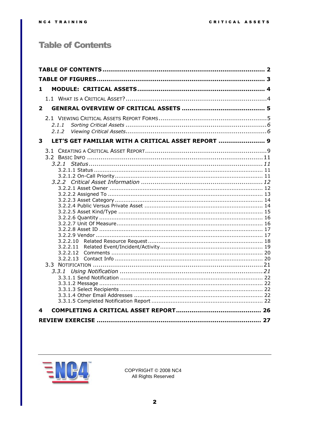# <span id="page-1-0"></span>**Table of Contents**

| 1                                                       |  |
|---------------------------------------------------------|--|
|                                                         |  |
|                                                         |  |
| $\mathbf{2}$                                            |  |
|                                                         |  |
| 2.1.1                                                   |  |
| 2.1.2                                                   |  |
| LET'S GET FAMILIAR WITH A CRITICAL ASSET REPORT  9<br>3 |  |
|                                                         |  |
|                                                         |  |
|                                                         |  |
|                                                         |  |
|                                                         |  |
|                                                         |  |
|                                                         |  |
|                                                         |  |
|                                                         |  |
|                                                         |  |
|                                                         |  |
|                                                         |  |
|                                                         |  |
| 3.2.2.10                                                |  |
| 3.2.2.11<br>3.2.2.12                                    |  |
| 3.2.2.13                                                |  |
|                                                         |  |
|                                                         |  |
|                                                         |  |
|                                                         |  |
|                                                         |  |
|                                                         |  |
| 4                                                       |  |
|                                                         |  |
|                                                         |  |

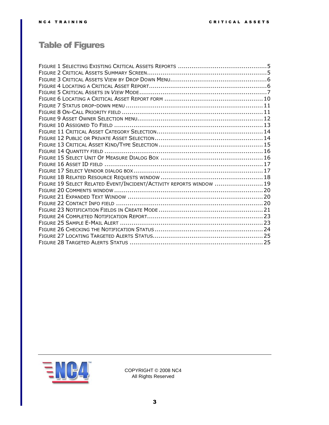# <span id="page-2-0"></span>Table of Figures

| FIGURE 19 SELECT RELATED EVENT/INCIDENT/ACTIVITY REPORTS WINDOW  19 |  |
|---------------------------------------------------------------------|--|
|                                                                     |  |
|                                                                     |  |
|                                                                     |  |
|                                                                     |  |
|                                                                     |  |
|                                                                     |  |
|                                                                     |  |
|                                                                     |  |
|                                                                     |  |

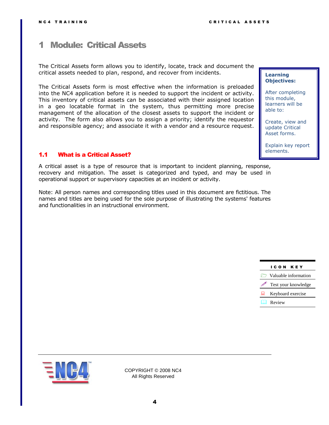# <span id="page-3-0"></span>1 Module: Critical Assets

The Critical Assets form allows you to identify, locate, track and document the critical assets needed to plan, respond, and recover from incidents.

The Critical Assets form is most effective when the information is preloaded into the NC4 application before it is needed to support the incident or activity. This inventory of critical assets can be associated with their assigned location in a geo locatable format in the system, thus permitting more precise management of the allocation of the closest assets to support the incident or activity. The form also allows you to assign a priority; identify the requestor and responsible agency; and associate it with a vendor and a resource request.

## <span id="page-3-1"></span>1.1 What is a Critical Asset?

A critical asset is a type of resource that is important to incident planning, response, recovery and mitigation. The asset is categorized and typed, and may be used in operational support or supervisory capacities at an incident or activity.

Note: All person names and corresponding titles used in this document are fictitious. The names and titles are being used for the sole purpose of illustrating the systems' features and functionalities in an instructional environment.

#### **Learning Objectives:**

After completing this module, learners will be able to:

Create, view and update Critical Asset forms.

Explain key report elements.

# I C O N K E Y **Asset forms. Expanding Waluable information** *P* Test your knowledge Keyboard exercise **Review**

**this module,** 

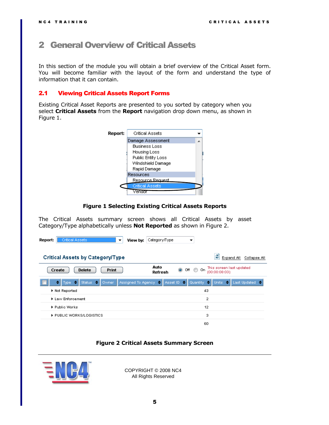# <span id="page-4-0"></span>2 General Overview of Critical Assets

In this section of the module you will obtain a brief overview of the Critical Asset form. You will become familiar with the layout of the form and understand the type of information that it can contain.

### <span id="page-4-1"></span>2.1 Viewing Critical Assets Report Forms

Existing Critical Asset Reports are presented to you sorted by category when you select **Critical Assets** from the **Report** navigation drop down menu, as shown in [Figure](#page-4-2) 1.



#### **Figure 1 Selecting Existing Critical Assets Reports**

<span id="page-4-2"></span>The Critical Assets summary screen shows all Critical Assets by asset Category/Type alphabetically unless **Not Reported** as shown in [Figure 2.](#page-4-3)

| <b>Critical Assets</b><br>Report:<br>▼                                                 | <b>View by:</b> Category/Type<br>▼                                                           |
|----------------------------------------------------------------------------------------|----------------------------------------------------------------------------------------------|
|                                                                                        | ø                                                                                            |
| <b>Critical Assets by Category/Type</b>                                                | Expand All<br>Collapse All                                                                   |
| Create<br><b>Delete</b><br><b>Print</b>                                                | Auto<br>This screen last updated<br>$\bullet$<br>⊙<br>Off<br>On.<br>(00:00:08:03)<br>Refresh |
| Assigned To Agency $\leftarrow$<br>Status +<br><b>Owner</b><br>Type $\Rightarrow$<br>٠ | Quantity +<br>Asset ID $\Rightarrow$<br>Last Updated $\Rightarrow$<br>Units $\div$           |
| Not Reported                                                                           | 43                                                                                           |
| Law Enforcement                                                                        | 2                                                                                            |
| ▶ Public Works                                                                         | 12                                                                                           |
| PUBLIC WORKS/LOGISTICS                                                                 | з                                                                                            |
|                                                                                        | 60                                                                                           |

#### **Figure 2 Critical Assets Summary Screen**

<span id="page-4-3"></span>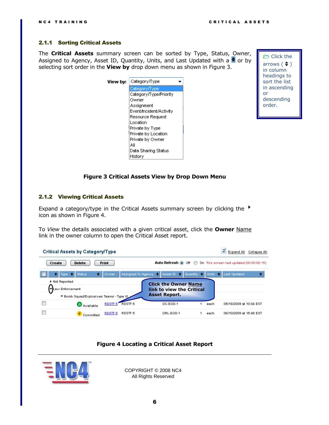#### <span id="page-5-0"></span>2.1.1 Sorting Critical Assets

The **Critical Assets** summary screen can be sorted by Type, Status, Owner, Assigned to Agency, Asset ID, Quantity, Units, and Last Updated with a  $\triangleq$  or by selecting sort order in the **View by** drop down menu as shown in [Figure 3.](#page-5-2)



Click the arrows  $($   $\div$   $)$ in column headings to sort the list in ascending or descending order.

### **Figure 3 Critical Assets View by Drop Down Menu**

#### <span id="page-5-2"></span><span id="page-5-1"></span>2.1.2 Viewing Critical Assets

Expand a category/type in the Critical Assets summary screen by clicking the  $\overrightarrow{ }$ icon as shown in [Figure 4.](#page-5-3)

To *View* the details associated with a given critical asset, click the **Owner** Name link in the owner column to open the Critical Asset report.

| <b>Critical Assets by Category/Type</b>  |                    |                                                                                |         | э                                         | Expand All Collapse All |
|------------------------------------------|--------------------|--------------------------------------------------------------------------------|---------|-------------------------------------------|-------------------------|
| <b>Delete</b><br>Create                  | <b>Print</b>       | Auto Refresh O Off                                                             |         | On This screen last updated (00:00:00:15) |                         |
| $Type \oplus \Delta$<br>Status<br>٠      | Owner.             | Assigned To Agency $\Rightarrow$ Asset ID $\Rightarrow$ Quantity $\Rightarrow$ | Units + | Last Updated,                             |                         |
| Not Reported                             |                    | <b>Click the Owner Name</b>                                                    |         |                                           |                         |
| VLaw Enforcement                         |                    | link to view the Critical                                                      |         |                                           |                         |
| ▼ Bomb Squad/Explosives Teams - Type III |                    | <b>Asset Report.</b>                                                           |         |                                           |                         |
| <b>G</b> Available                       | RDSTF 5 RDSTF 5    | OC-EOD-1                                                                       | each    | 05/18/2009 at 10:04 EST                   |                         |
| Committed                                | RDSTF 5<br>RDSTF 5 | ORL-EOD-1                                                                      | each    | 06/10/2009 at 15:48 EST                   |                         |

## **Figure 4 Locating a Critical Asset Report**

<span id="page-5-3"></span>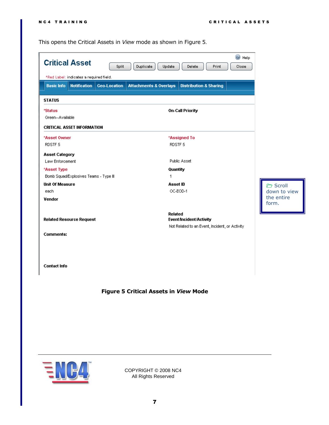This opens the Critical Assets in *View* mode as shown in [Figure 5](#page-6-0).

| <b>Critical Asset</b>                    |                     |                                   |                                                |       | C Help |                     |
|------------------------------------------|---------------------|-----------------------------------|------------------------------------------------|-------|--------|---------------------|
|                                          | Split               | Duplicate<br>Update               | <b>Delete</b>                                  | Print | Close  |                     |
| *Red Label: indicates a required field.  |                     |                                   |                                                |       |        |                     |
| <b>Basic Info</b><br><b>Notification</b> | <b>Geo-Location</b> | <b>Attachments &amp; Overlays</b> | <b>Distribution &amp; Sharing</b>              |       |        |                     |
|                                          |                     |                                   |                                                |       |        |                     |
| <b>STATUS</b>                            |                     |                                   |                                                |       |        |                     |
| *Status                                  |                     |                                   | <b>On-Call Priority</b>                        |       |        |                     |
| Green--Available                         |                     |                                   |                                                |       |        |                     |
| <b>CRITICAL ASSET INFORMATION</b>        |                     |                                   |                                                |       |        |                     |
| *Asset Owner                             |                     |                                   | *Assigned To                                   |       |        |                     |
| RDSTF <sub>5</sub>                       |                     | RDSTF 5                           |                                                |       |        |                     |
| <b>Asset Category</b>                    |                     |                                   |                                                |       |        |                     |
| Law Enforcement                          |                     |                                   | Public Asset                                   |       |        |                     |
| *Asset Type                              |                     | Quantity                          |                                                |       |        |                     |
| Bomb Squad/Explosives Teams - Type III   |                     | 1                                 |                                                |       |        |                     |
| <b>Unit Of Measure</b>                   |                     | Asset ID                          |                                                |       |        | C Scroll            |
| each                                     |                     |                                   | OC-EOD-1                                       |       |        | down to view        |
| Vendor                                   |                     |                                   |                                                |       |        | the entire<br>form. |
|                                          |                     | Related                           |                                                |       |        |                     |
| <b>Related Resource Request</b>          |                     |                                   | <b>Event/Incident/Activity</b>                 |       |        |                     |
|                                          |                     |                                   | Not Related to an Event, Incident, or Activity |       |        |                     |
| Comments:                                |                     |                                   |                                                |       |        |                     |
|                                          |                     |                                   |                                                |       |        |                     |
|                                          |                     |                                   |                                                |       |        |                     |
|                                          |                     |                                   |                                                |       |        |                     |
| <b>Contact Info</b>                      |                     |                                   |                                                |       |        |                     |
|                                          |                     |                                   |                                                |       |        |                     |
|                                          |                     |                                   |                                                |       |        |                     |
|                                          |                     |                                   |                                                |       |        |                     |

# <span id="page-6-0"></span>**Figure 5 Critical Assets in** *View* **Mode**

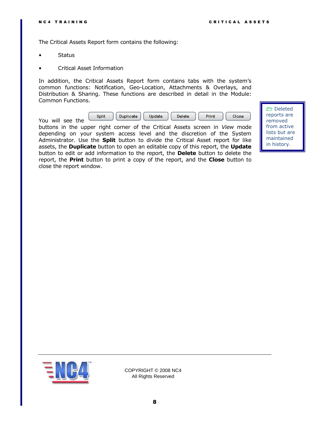The Critical Assets Report form contains the following:

- **Status**
- Critical Asset Information

In addition, the Critical Assets Report form contains tabs with the system's common functions: Notification, Geo-Location, Attachments & Overlays, and Distribution & Sharing. These functions are described in detail in the Module: Common Functions.



buttons in the upper right corner of the Critical Assets screen in *View* mode depending on your system access level and the discretion of the System Administrator. Use the **Split** button to divide the Critical Asset report for like assets, the **Duplicate** button to open an editable copy of this report, the **Update** button to edit or add information to the report, the **Delete** button to delete the report, the **Print** button to print a copy of the report, and the **Close** button to close the report window.

 Deleted reports are removed from active lists but are maintained in history.

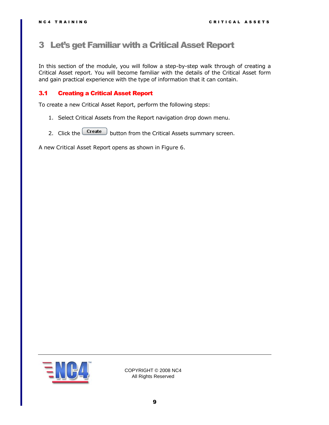# <span id="page-8-0"></span>3 Let's get Familiar with a Critical Asset Report

In this section of the module, you will follow a step-by-step walk through of creating a Critical Asset report. You will become familiar with the details of the Critical Asset form and gain practical experience with the type of information that it can contain.

### <span id="page-8-1"></span>3.1 Creating a Critical Asset Report

To create a new Critical Asset Report, perform the following steps:

- 1. Select Critical Assets from the Report navigation drop down menu.
- 2. Click the  $\boxed{\text{Create}}$  button from the Critical Assets summary screen.

A new Critical Asset Report opens as shown in [Figure 6.](#page-9-0)

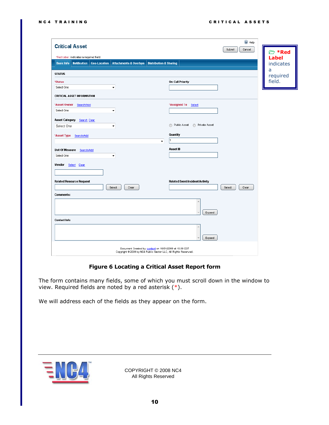| <b>Critical Asset</b>                                                                                                                     | C Help                            |
|-------------------------------------------------------------------------------------------------------------------------------------------|-----------------------------------|
|                                                                                                                                           | Cancel<br>Submit<br><b>© *Red</b> |
| *Red Label: indicates a required field.                                                                                                   | <b>Label</b>                      |
| <b>Geo-Location</b><br><b>Attachments &amp; Overlays</b><br><b>Distribution &amp; Sharing</b><br><b>Basic Info</b><br><b>Notification</b> | indicates                         |
| <b>STATUS</b>                                                                                                                             | a<br>required                     |
| <b>On-Call Priority</b><br>*Status                                                                                                        | field.                            |
| Select One<br>$\blacktriangledown$                                                                                                        |                                   |
| <b>CRITICAL ASSET INFORMATION</b>                                                                                                         |                                   |
| *Asset Owner<br>*Assigned To Select<br>Search/Add                                                                                         |                                   |
| Select One<br>۰                                                                                                                           |                                   |
| Asset Category<br>Search Clear                                                                                                            |                                   |
| Public Asset @ Private Asset<br>Select One<br>۰                                                                                           |                                   |
| Quantity<br>*Asset Type Search/Add                                                                                                        |                                   |
| $\blacktriangledown$                                                                                                                      |                                   |
| Asset ID<br>Unit Of Measure<br>Search/Add                                                                                                 |                                   |
| Select One<br>$\blacktriangledown$                                                                                                        |                                   |
| Vendor<br>Select Clear                                                                                                                    |                                   |
|                                                                                                                                           |                                   |
| <b>Related Resource Request</b><br>Related Event/Incident/Activity                                                                        |                                   |
| Select<br>Clear                                                                                                                           | Select<br>Clear                   |
| <b>Comments:</b>                                                                                                                          |                                   |
|                                                                                                                                           |                                   |
|                                                                                                                                           | Expand                            |
| Contact Info                                                                                                                              |                                   |
|                                                                                                                                           |                                   |
|                                                                                                                                           |                                   |
|                                                                                                                                           | Expand                            |
| Document Created by: <b>content</b> on 10/01/2009 at 19:39 EST<br>Copyright @ 2009 by NC4 Public Sector LLC, All Rights Reserved.         |                                   |

# **Figure 6 Locating a Critical Asset Report form**

<span id="page-9-0"></span>The form contains many fields, some of which you must scroll down in the window to view. Required fields are noted by a red asterisk  $(*)$ .

We will address each of the fields as they appear on the form.

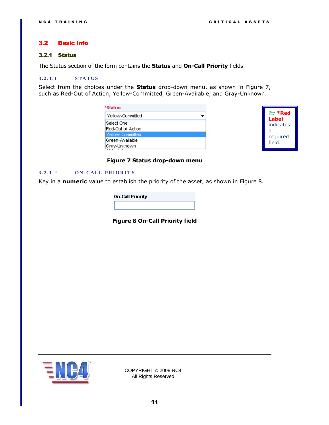### <span id="page-10-0"></span>3.2 Basic Info

#### <span id="page-10-1"></span>3.2.1 Status

The Status section of the form contains the **Status** and **On-Call Priority** fields.

#### <span id="page-10-2"></span>**3 . 2 . 1 . 1 S T A T U S**

Select from the choices under the **Status** drop-down menu, as shown in [Figure 7,](#page-10-4) such as Red-Out of Action, Yellow-Committed, Green-Available, and Gray-Unknown.

| *Status           |  |
|-------------------|--|
| Yellow-Committed  |  |
| Select One        |  |
| Red-Out of Action |  |
| lYellow-Committed |  |
| Green-Available   |  |
| Gray-Unknown      |  |



#### **Figure 7 Status drop-down menu**

#### <span id="page-10-4"></span><span id="page-10-3"></span>**3 . 2 . 1 . 2 O N - C A L L P R I O R I T Y**

<span id="page-10-5"></span>Key in a **numeric** value to establish the priority of the asset, as shown in [Figure 8.](#page-10-5)

| <b>On-Call Priority</b> |  |
|-------------------------|--|
|                         |  |

**Figure 8 On-Call Priority field**

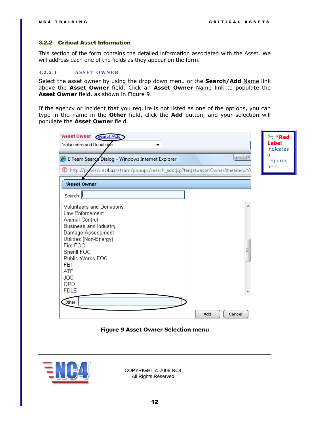#### <span id="page-11-0"></span>3.2.2 Critical Asset Information

This section of the form contains the detailed information associated with the Asset. We will address each one of the fields as they appear on the form.

#### <span id="page-11-1"></span>**3 . 2 . 2 . 1 A S S E T O W N E R**

Select the asset owner by using the drop down menu or the **Search/Add** Name link above the **Asset Owner** field. Click an **Asset Owner** Name link to populate the **Asset Owner** field, as shown in [Figure 9.](#page-11-2)

If the agency or incident that you require is not listed as one of the options, you can type in the name in the **Other** field, click the **Add** button, and your selection will populate the **Asset Owner** field.

| *Asset Owner Search/Add<br>Volunteers and Donations<br>▼                         |               | <b>© *Red</b><br>Label<br>indicates<br>a |
|----------------------------------------------------------------------------------|---------------|------------------------------------------|
| E Team Search Dialog - Windows Internet Explorer                                 | $\Box$ $\Box$ | required<br>field.                       |
| 6) http://proview.nc4.us/eteam/popups/search_add.jsp?target=assetOwner&header="A |               |                                          |
| *Asset Owner                                                                     |               |                                          |
| Search:                                                                          |               |                                          |
| Volunteers and Donations                                                         |               |                                          |
| Law Enforcement                                                                  |               |                                          |
| Animal Control                                                                   |               |                                          |
| Business and Industry                                                            |               |                                          |
| Damage Assessment<br>Utilities (Non-Energy)                                      |               |                                          |
| Fire FOC                                                                         |               |                                          |
| Sheriff FOC                                                                      | Ξ             |                                          |
| Public Works FOC                                                                 |               |                                          |
| FBI                                                                              |               |                                          |
| ATF                                                                              |               |                                          |
| <b>JOC</b>                                                                       |               |                                          |
| OPD<br><b>FDLE</b>                                                               |               |                                          |
|                                                                                  |               |                                          |
| Other:                                                                           |               |                                          |
|                                                                                  | Add<br>Cancel |                                          |

**Figure 9 Asset Owner Selection menu**

<span id="page-11-2"></span>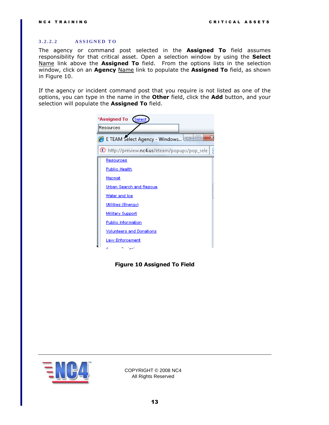#### <span id="page-12-0"></span>**3 . 2 . 2 . 2 A S S I G N E D T O**

The agency or command post selected in the **Assigned To** field assumes responsibility for that critical asset. Open a selection window by using the **Select** Name link above the **Assigned To** field. From the options lists in the selection window, click on an **Agency** Name link to populate the **Assigned To** field, as shown in [Figure 10.](#page-12-1)

If the agency or incident command post that you require is not listed as one of the options, you can type in the name in the **Other** field, click the **Add** button, and your selection will populate the **Assigned To** field.

| *Assigned To<br>Select                      |  |
|---------------------------------------------|--|
| Resources                                   |  |
| $=$<br>E TEAM Select Agency - Windows       |  |
| http://preview.nc4.us/eteam/popups/pop_sele |  |
| Resources                                   |  |
| <b>Public Health</b>                        |  |
| <u>Hazmat</u>                               |  |
| Urban Search and Rescue                     |  |
| Water and loe                               |  |
| Utilities (Energy)                          |  |
| <b>Military Support</b>                     |  |
| Public Information                          |  |
| <b>Yolunteers and Donations</b>             |  |
| <b>Law Enforcement</b>                      |  |
| ٨                                           |  |

<span id="page-12-1"></span>**Figure 10 Assigned To Field**

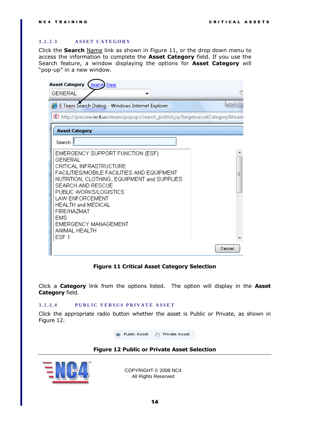#### <span id="page-13-0"></span>**3 . 2 . 2 . 3 A S S E T C A T E G O R Y**

Click the **Search** Name link as shown in [Figure 11,](#page-13-2) or the drop down menu to access the information to complete the **Asset Category** field. If you use the Search feature, a window displaying the options for **Asset Category** will "pop-up" in a new window.

| <b>Asset Category</b><br>Search Clear                                                                                                                                                                                                                                                                                                                               |                    |
|---------------------------------------------------------------------------------------------------------------------------------------------------------------------------------------------------------------------------------------------------------------------------------------------------------------------------------------------------------------------|--------------------|
| <b>GENERAL</b>                                                                                                                                                                                                                                                                                                                                                      |                    |
| E Team Search Dialog - Windows Internet Explorer                                                                                                                                                                                                                                                                                                                    | $\equiv$<br>$\Box$ |
| (E) http://preview.nc4.us/eteam/popups/search_picklist.jsp?target=assetCategory&headi                                                                                                                                                                                                                                                                               |                    |
| <b>Asset Category</b>                                                                                                                                                                                                                                                                                                                                               |                    |
| Search:                                                                                                                                                                                                                                                                                                                                                             |                    |
| EMERGENCY SUPPORT FUNCTION (ESF)<br><b>GENERAL</b><br>CRITICAL INFRASTRUCTURE<br>FACILITIES/MOBILE FACILITIES AND EQUIPMENT<br>NUTRITION, CLOTHING, EQUIPMENT and SUPPLIES<br>SEARCH AND RESCUE<br>PUBLIC WORKS/LOGISTICS<br>LAW ENFORCEMENT<br><b>HEALTH and MEDICAL</b><br>FIRE/HAZMAT<br><b>EMS</b><br>EMERGENCY MANAGEMENT<br>ANIMAL HEALTH<br>ESF <sub>1</sub> | Ξ                  |
|                                                                                                                                                                                                                                                                                                                                                                     | Cancel             |

#### **Figure 11 Critical Asset Category Selection**

<span id="page-13-2"></span>Click a **Category** link from the options listed. The option will display in the **Asset Category** field.

#### <span id="page-13-1"></span>3.2.2.4 **PUBLIC VERSUS PRIVATE ASSET**

Click the appropriate radio button whether the asset is Public or Private, as shown in [Figure 12.](#page-13-3)

● Public Asset ● Private Asset

#### **Figure 12 Public or Private Asset Selection**

<span id="page-13-3"></span>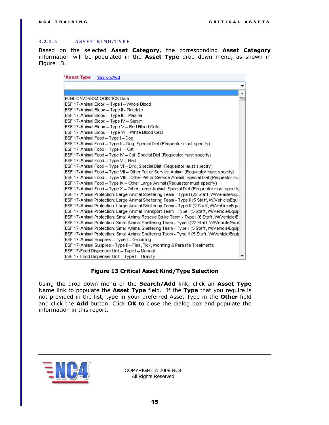#### <span id="page-14-0"></span>**3 . 2 . 2 . 5 A S S E T K I N D / T Y P E**

Based on the selected **Asset Category**, the corresponding **Asset Category** information will be populated in the **Asset Type** drop down menu, as shown in [Figure 13.](#page-14-1)

| *Asset Type | Search/Add                                                                                  |    |
|-------------|---------------------------------------------------------------------------------------------|----|
|             |                                                                                             | ▼  |
|             |                                                                                             | ┻  |
|             | PUBLIC WORKS/LOGISTICS-Dam                                                                  | ΞI |
|             | ESF 17-Animal Blood - Type I - Whole Blood                                                  |    |
|             | ESF 17-Animal Blood - Type II - Platelets                                                   |    |
|             | ESF 17-Animal Blood - Type III - Plasma                                                     |    |
|             | ESF 17-Animal Blood - Type IV - Serum                                                       |    |
|             | ESF 17-Animal Blood - Type V - Red Blood Cells                                              |    |
|             | ESF 17-Animal Blood - Type VI - White Blood Cells                                           |    |
|             | ESF 17-Animal Food - Type I - Dog                                                           |    |
|             | ESF 17-Animal Food - Type II - Dog, Special Diet (Requestor must specify)                   |    |
|             | ESF 17-Animal Food - Type III - Cat                                                         |    |
|             | ESF 17-Animal Food - Type IV - Cat, Special Diet (Requestor must specify)                   |    |
|             | ESF 17-Animal Food - Type V - Bird                                                          |    |
|             | ESF 17-Animal Food - Type VI - Bird, Special Diet (Requestor must specify)                  |    |
|             | ESF 17-Animal Food - Type VII - Other Pet or Service Animal (Requestor must specify)        |    |
|             | ESF 17-Animal Food -- Type VIII -- Other Pet or Service Animal, Special Diet (Requestor mu  |    |
|             | ESF 17-Animal Food - Type IX - Other Large Animal (Requestor must specify)                  |    |
|             | ESF 17-Animal Food - Type X - Other Large Animal, Special Diet (Requestor must specify      |    |
|             | ESF 17-Animal Protection: Large Animal Sheltering Team - Type I (22 Staff, W/Vehicle/Equ    |    |
|             | ESF 17-Animal Protection: Large Animal Sheltering Team - Type II (5 Staff, W/Vehicle/Equi   |    |
|             | ESF 17-Animal Protection: Large Animal Sheltering Team - Type III (2 Staff, W/Vehicle/Equ   |    |
|             | ESF 17-Animal Protection: Large Animal Transport Team - Type I (5 Staff, W/Vehicle/Equip    |    |
|             | ESF 17-Animal Protection: Small Animal Rescue Strike Team - Type I (6 Staff, W/Vehicle/E    |    |
|             | ESF 17-Animal Protection: Small Animal Sheltering Team - Type I (22 Staff, W/Vehicle/Equi   |    |
|             | ESF 17-Animal Protection: Small Animal Sheltering Team - Type II (5 Staff, W/Vehicle/Equip  |    |
|             | ESF 17-Animal Protection: Small Animal Sheltering Team - Type III (5 Staff, W/Vehicle/Equij |    |
|             | ESF 17-Animal Supplies - Type I - Grooming                                                  |    |
|             | ESF 17-Animal Supplies - Type II – Flea, Tick, Worming & Parasite Treatments                |    |
|             | ESF 17-Food Dispenser Unit - Type I - Manual                                                |    |
|             | ESF 17-Food Dispenser Unit - Type I - Gravity                                               |    |

#### **Figure 13 Critical Asset Kind/Type Selection**

<span id="page-14-1"></span>Using the drop down menu or the **Search/Add** link, click an **Asset Type** Name link to populate the **Asset Type** field. If the **Type** that you require is not provided in the list, type in your preferred Asset Type in the **Other** field and click the **Add** button. Click **OK** to close the dialog box and populate the information in this report.

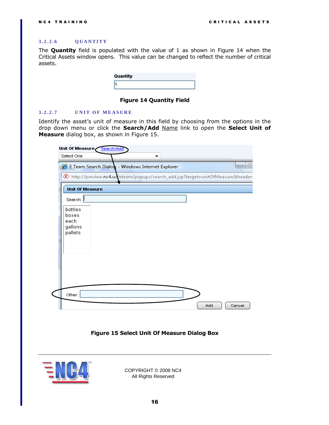#### <span id="page-15-0"></span>**3 . 2 . 2 . 6 Q U A N T I T Y**

The **Quantity** field is populated with the value of 1 as shown in [Figure 14](#page-15-2) when the Critical Assets window opens. This value can be changed to reflect the number of critical assets.

| Quantity |  |
|----------|--|
|          |  |

**Figure 14 Quantity Field**

#### <span id="page-15-2"></span><span id="page-15-1"></span>**3.2.2.7 UNIT OF MEASURE**

Identify the asset's unit of measure in this field by choosing from the options in the drop down menu or click the **Search/Add** Name link to open the **Select Unit of Measure** dialog box, as shown in [Figure 15.](#page-15-3)

|                                                | E Team Search Dialog - Windows Internet Explorer                               | $\Box$ e |
|------------------------------------------------|--------------------------------------------------------------------------------|----------|
|                                                | http://preview.nc4.us/eteam/popups/search_add.jsp?target=unitOfMeasure&header: |          |
| <b>Unit Of Measure</b>                         |                                                                                |          |
| Search:                                        |                                                                                |          |
| bottles<br>boxes<br>each<br>gallons<br>pallets |                                                                                |          |
| Other:                                         |                                                                                |          |

**Figure 15 Select Unit Of Measure Dialog Box**

<span id="page-15-3"></span>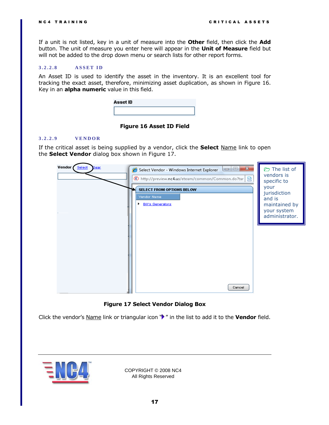If a unit is not listed, key in a unit of measure into the **Other** field, then click the **Add** button. The unit of measure you enter here will appear in the **Unit of Measure** field but will not be added to the drop down menu or search lists for other report forms.

#### <span id="page-16-0"></span>**3 . 2 . 2 . 8 A S S E T I D**

An Asset ID is used to identify the asset in the inventory. It is an excellent tool for tracking the exact asset, therefore, minimizing asset duplication, as shown in [Figure 16.](#page-16-2) Key in an **alpha numeric** value in this field.

| Asset ID |  |  |
|----------|--|--|
|          |  |  |

#### **Figure 16 Asset ID Field**

#### <span id="page-16-2"></span><span id="page-16-1"></span>**3 . 2 . 2 . 9 V E N D O R**

If the critical asset is being supplied by a vendor, click the **Select** Name link to open the **Select Vendor** dialog box shown in [Figure 17.](#page-16-3)



**Figure 17 Select Vendor Dialog Box**

<span id="page-16-3"></span>Click the vendor's Name link or triangular icon "<sup>\*</sup> in the list to add it to the **Vendor** field.

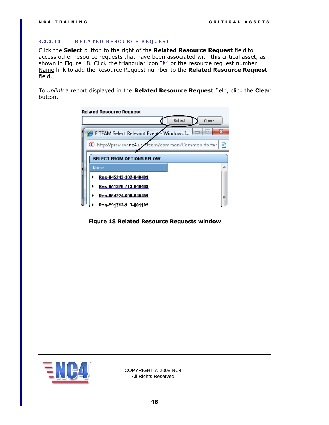#### <span id="page-17-0"></span>**3 . 2 . 2 . 1 0 R E L A T E D R E S O U R C E R E Q U E S T**

Click the **Select** button to the right of the **Related Resource Request** field to access other resource requests that have been associated with this critical asset, as shown in [Figure 18.](#page-17-1) Click the triangular icon  $\mathbb{P}$  " or the resource request number Name link to add the Resource Request number to the **Related Resource Request**  field.

To *unlink* a report displayed in the **Related Resource Request** field, click the **Clear**  button.



<span id="page-17-1"></span>**Figure 18 Related Resource Requests window**

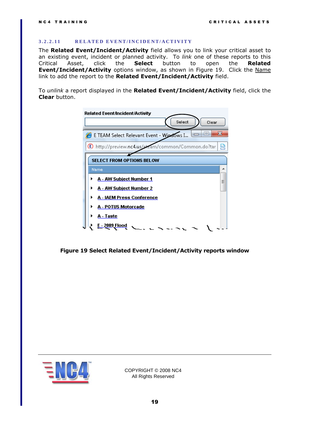#### <span id="page-18-0"></span>**3 . 2 . 2 . 1 1 R E L A T E D E V E N T / I N C I D E N T / A C T I V I T Y**

The **Related Event/Incident/Activity** field allows you to link your critical asset to an existing event, incident or planned activity. To *link* one of these reports to this Critical Asset, click the **Select** button to open the **Related Event/Incident/Activity** options window, as shown in [Figure 19.](#page-18-1) Click the Name link to add the report to the **Related Event/Incident/Activity** field.

To *unlink* a report displayed in the **Related Event/Incident/Activity** field, click the **Clear** button.



<span id="page-18-1"></span>**Figure 19 Select Related Event/Incident/Activity reports window**

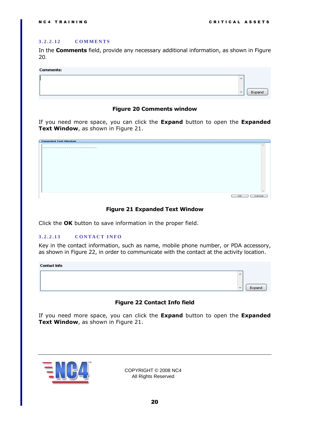#### <span id="page-19-0"></span>**3 . 2 . 2 . 1 2 C O M M E N T S**

In the **Comments** field, provide any necessary additional information, as shown in [Figure](#page-19-2)  [20](#page-19-2).

#### Commontor

| COMMICIUS. |                          |        |
|------------|--------------------------|--------|
|            | ×                        |        |
|            | $\overline{\phantom{m}}$ | Expand |
|            |                          |        |

#### **Figure 20 Comments window**

<span id="page-19-2"></span>If you need more space, you can click the **Expand** button to open the **Expanded Text Window**, as shown in [Figure 21.](#page-19-3)

| <b>Expanded Text Window</b> |              |
|-----------------------------|--------------|
|                             |              |
|                             |              |
|                             |              |
|                             |              |
|                             |              |
|                             |              |
|                             |              |
|                             |              |
|                             |              |
|                             |              |
|                             |              |
|                             |              |
|                             |              |
|                             |              |
|                             | OK<br>Cancel |
|                             |              |

#### **Figure 21 Expanded Text Window**

<span id="page-19-3"></span>Click the **OK** button to save information in the proper field.

#### <span id="page-19-1"></span>**3 . 2 . 2 . 1 3 C O N T A C T I N F O**

Key in the contact information, such as name, mobile phone number, or PDA accessory, as shown in [Figure 22,](#page-19-4) in order to communicate with the contact at the activity location.

#### **Contact Info**



#### **Figure 22 Contact Info field**

<span id="page-19-4"></span>If you need more space, you can click the **Expand** button to open the **Expanded Text Window**, as shown in [Figure 21.](#page-19-3)

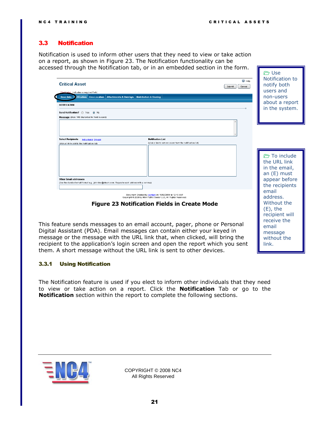recipient will receive the email message without the link.

 $P$  Use

# <span id="page-20-0"></span>3.3 Notification

Notification is used to inform other users that they need to view or take action on a report, as shown in [Figure 23.](#page-20-2) The Notification functionality can be accessed through the Notification tab, or in an embedded section in the form.

| <b>Critical Asset</b><br>shel; indicates a required field.                                                                  | C Help<br>Cancel<br>Submit | ____<br>Notification to<br>notify both<br>users and                         |
|-----------------------------------------------------------------------------------------------------------------------------|----------------------------|-----------------------------------------------------------------------------|
| Basic Info   3 stification   Geo-Location   Attachments & Overlays   Distribution & Sharing                                 |                            | non-users                                                                   |
|                                                                                                                             |                            | about a report                                                              |
| <b>NOTIFICATION</b>                                                                                                         |                            | in the system.                                                              |
| Send Notification? Ses O No                                                                                                 |                            |                                                                             |
| Message (max. 140 characters for mobile users)                                                                              |                            |                                                                             |
|                                                                                                                             |                            |                                                                             |
| <b>Notification List</b><br><b>Select Recipients</b><br><b>Individuals Groups</b>                                           |                            |                                                                             |
| (click a link to remove a user from the notification list)<br>(click a link to add to the notification list)                |                            |                                                                             |
| <b>Other Email addresses</b><br>(Use the standard email format e.g., johndoe@eteam.com. Separate each address with a comma) |                            | To include<br>the URL link<br>in the email,<br>an (E) must<br>appear before |
| Document Created by: content on 10/02/2009 at 12:10 EST<br>Copyright @ 2009 by NC4 Public Sector LLC, All Rights Reserved.  |                            | the recipients<br>email<br>address.                                         |
| <b>Figure 23 Notification Fields in Create Mode</b>                                                                         |                            | Without the<br>(E), the                                                     |

<span id="page-20-2"></span>This feature sends messages to an email account, pager, phone or Personal Digital Assistant (PDA). Email messages can contain either your keyed in message or the message with the URL link that, when clicked, will bring the recipient to the application's login screen and open the report which you sent them. A short message without the URL link is sent to other devices.

#### <span id="page-20-1"></span>3.3.1 Using Notification

The Notification feature is used if you elect to inform other individuals that they need to view or take action on a report. Click the **Notification** Tab or go to the **Notification** section within the report to complete the following sections.

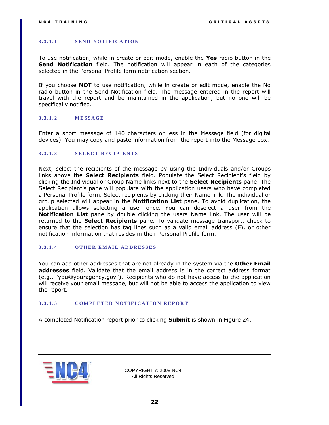#### <span id="page-21-0"></span>**3 . 3 . 1 . 1 S E N D N O T I F I C A T I O N**

To use notification, while in create or edit mode, enable the **Yes** radio button in the **Send Notification** field. The notification will appear in each of the categories selected in the Personal Profile form notification section.

If you choose **NOT** to use notification, while in create or edit mode, enable the No radio button in the Send Notification field. The message entered in the report will travel with the report and be maintained in the application, but no one will be specifically notified.

#### <span id="page-21-1"></span>**3 . 3 . 1 . 2 M E S S A G E**

Enter a short message of 140 characters or less in the Message field (for digital devices). You may copy and paste information from the report into the Message box.

#### <span id="page-21-2"></span>3.3.1.3 **SELECT RECIPIENTS**

Next, select the recipients of the message by using the Individuals and/or Groups links above the **Select Recipients** field. Populate the Select Recipient's field by clicking the Individual or Group Name links next to the **Select Recipients** pane. The Select Recipient's pane will populate with the application users who have completed a Personal Profile form. Select recipients by clicking their Name link. The individual or group selected will appear in the **Notification List** pane. To avoid duplication, the application allows selecting a user once. You can deselect a user from the **Notification List** pane by double clicking the users **Name link.** The user will be returned to the **Select Recipients** pane. To validate message transport, check to ensure that the selection has tag lines such as a valid email address (E), or other notification information that resides in their Personal Profile form.

#### <span id="page-21-3"></span>**3 . 3 . 1 . 4 O T H E R E M A I L A D D R E S S E S**

You can add other addresses that are not already in the system via the **Other Email addresses** field. Validate that the email address is in the correct address format (e.g., "you@youragency.gov"). Recipients who do not have access to the application will receive your email message, but will not be able to access the application to view the report.

#### <span id="page-21-4"></span>**3 . 3 . 1 . 5 C O M P L E T E D N O T I F I C A T I O N R E P O R T**

A completed Notification report prior to clicking **Submit** is shown in [Figure 24.](#page-22-0)

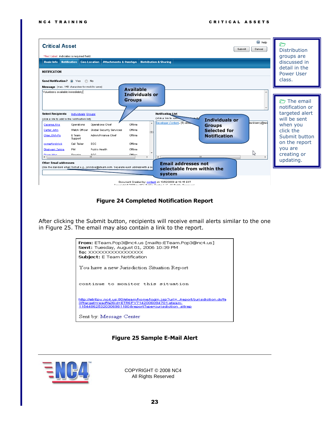| C Help<br><b>Critical Asset</b><br>Cancel<br>Submit<br>*Red Label: indicates a required field.<br><b>Basic Info</b>   Notification   Geo-Location<br><b>Attachments &amp; Overlays</b><br><b>Distribution &amp; Sharing</b><br><b>NOTIFICATION</b><br>Send Notification? O Yes<br>O No<br>Message (max. 140 characters for mobile users)                                                                                                                                                                                                                                                                                                                                                                                                                                                                                                                                                                                                                                                                                                                                                                                                                         | <b>Distribution</b><br>groups are<br>discussed in<br>detail in the<br><b>Power User</b><br>class. |  |  |  |  |
|------------------------------------------------------------------------------------------------------------------------------------------------------------------------------------------------------------------------------------------------------------------------------------------------------------------------------------------------------------------------------------------------------------------------------------------------------------------------------------------------------------------------------------------------------------------------------------------------------------------------------------------------------------------------------------------------------------------------------------------------------------------------------------------------------------------------------------------------------------------------------------------------------------------------------------------------------------------------------------------------------------------------------------------------------------------------------------------------------------------------------------------------------------------|---------------------------------------------------------------------------------------------------|--|--|--|--|
| <b>Available</b><br>Volunteers available immediately<br>Individuals or<br><b>Groups</b><br>The email<br>notification or<br>targeted alert<br><b>Notification List</b><br><b>Select Recipients</b><br>Individuals Groups<br>(click a link to reme<br><b>Heart the</b><br>will be sent<br>(click a link to add to the notification list)<br><b>Individuals or</b><br>lackberry@mo<br>Developer.Content- (E) abo<br>Offline<br>Operations Chief<br>when you<br>Caceres, Kris<br>Operations<br><b>Groups</b><br>Carter, John<br>Watch Officer<br>Global Security Services<br>Offline<br><b>Selected for</b><br>click the<br>e<br>Admin/Finance Chief<br>Offline<br>Chao, Chih-Pu<br>E Team<br><b>Notification</b><br>Submit button<br>Support<br>on the report<br>comerford,rick<br>Call Taker<br>EOC<br>Offline<br>you are<br>Dhalwani, Zahira<br>PM.<br>Public Health<br>Offline<br>ど<br>creating or<br>Diego, Woe<br>Disordon<br>EOC<br>Office<br>m.<br>m.<br>updating.<br>Other Email addresses<br><b>Email addresses not</b><br>(Use the standard email format e.g., johndoe@eteam.com. Separate each address with a co<br>selectable from within the<br>system |                                                                                                   |  |  |  |  |

### **Figure 24 Completed Notification Report**

<span id="page-22-0"></span>After clicking the Submit button, recipients will receive email alerts similar to the one in [Figure 25.](#page-22-1) The email may also contain a link to the report.



#### **Figure 25 Sample E-Mail Alert**

<span id="page-22-1"></span>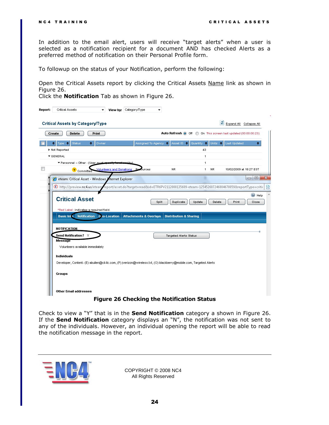In addition to the email alert, users will receive "target alerts" when a user is selected as a notification recipient for a document AND has checked Alerts as a preferred method of notification on their Personal Profile form.

To followup on the status of your Notification, perform the following:

Open the Critical Assets report by clicking the Critical Assets Name link as shown in [Figure 26.](#page-23-0)

Click the **Notification** Tab as shown in [Figure 26.](#page-23-0)

| <b>Delete</b><br>Auto Refresh O Off O On This screen last updated (00:00:00:23)<br>Print<br>Create<br>Assigned To Agency $\Rightarrow$ Asset ID $\Rightarrow$ Quantity $\Rightarrow$ Units $\Rightarrow$ Last Updated<br>Status<br>Owner<br>Type $\bullet$<br>$\bullet$<br>٠<br>Not Reported<br>43<br>▼ GENERAL<br>1<br>▼ Personnel – Other - (User must<br>1<br><b>Volunteers and Donations</b><br>NR.<br>NR.<br>10/02/2009 at 18:27 EST<br>fources.<br>1<br>Re<br>Y.<br>Committed<br>eteam: Critical Asset - Windows Internet Explorer<br>ê<br>C http://preview.nc4.us/etean/report/asset.do?target=read&id=ETR6PV2112008135609-eteam-125452607246804678059&reportType=critic<br>C Help<br><b>Critical Asset</b><br>Duplicate<br>Update<br>Split<br>Delete<br>Print<br>*Red Label: indicates a required field.<br>Notification Geo-Location<br><b>Attachments &amp; Overlays</b><br><b>Distribution &amp; Sharing</b><br><b>Basic Info</b><br><b>NOTIFICATION</b><br>Send Notification? Y<br>Targeted Alerts Status<br>Message<br>Volunteers available immediately<br><b>Individuals</b><br>Developer, Content- (E) abullen@cil-llc.com, (P) jverizon@wireless.txt, (O) blackberry@mobile.com, Targeted Alerts<br>Groups | <b>Critical Assets by Category/Type</b> |  |  | ø | Expand All Collapse All |
|----------------------------------------------------------------------------------------------------------------------------------------------------------------------------------------------------------------------------------------------------------------------------------------------------------------------------------------------------------------------------------------------------------------------------------------------------------------------------------------------------------------------------------------------------------------------------------------------------------------------------------------------------------------------------------------------------------------------------------------------------------------------------------------------------------------------------------------------------------------------------------------------------------------------------------------------------------------------------------------------------------------------------------------------------------------------------------------------------------------------------------------------------------------------------------------------------------------------------|-----------------------------------------|--|--|---|-------------------------|
|                                                                                                                                                                                                                                                                                                                                                                                                                                                                                                                                                                                                                                                                                                                                                                                                                                                                                                                                                                                                                                                                                                                                                                                                                            |                                         |  |  |   |                         |
|                                                                                                                                                                                                                                                                                                                                                                                                                                                                                                                                                                                                                                                                                                                                                                                                                                                                                                                                                                                                                                                                                                                                                                                                                            |                                         |  |  |   | ٠                       |
|                                                                                                                                                                                                                                                                                                                                                                                                                                                                                                                                                                                                                                                                                                                                                                                                                                                                                                                                                                                                                                                                                                                                                                                                                            |                                         |  |  |   |                         |
|                                                                                                                                                                                                                                                                                                                                                                                                                                                                                                                                                                                                                                                                                                                                                                                                                                                                                                                                                                                                                                                                                                                                                                                                                            |                                         |  |  |   |                         |
|                                                                                                                                                                                                                                                                                                                                                                                                                                                                                                                                                                                                                                                                                                                                                                                                                                                                                                                                                                                                                                                                                                                                                                                                                            |                                         |  |  |   |                         |
|                                                                                                                                                                                                                                                                                                                                                                                                                                                                                                                                                                                                                                                                                                                                                                                                                                                                                                                                                                                                                                                                                                                                                                                                                            |                                         |  |  |   |                         |
|                                                                                                                                                                                                                                                                                                                                                                                                                                                                                                                                                                                                                                                                                                                                                                                                                                                                                                                                                                                                                                                                                                                                                                                                                            |                                         |  |  |   | $\Box$ $\Box$           |
|                                                                                                                                                                                                                                                                                                                                                                                                                                                                                                                                                                                                                                                                                                                                                                                                                                                                                                                                                                                                                                                                                                                                                                                                                            |                                         |  |  |   |                         |
|                                                                                                                                                                                                                                                                                                                                                                                                                                                                                                                                                                                                                                                                                                                                                                                                                                                                                                                                                                                                                                                                                                                                                                                                                            |                                         |  |  |   | Close                   |
|                                                                                                                                                                                                                                                                                                                                                                                                                                                                                                                                                                                                                                                                                                                                                                                                                                                                                                                                                                                                                                                                                                                                                                                                                            |                                         |  |  |   |                         |
|                                                                                                                                                                                                                                                                                                                                                                                                                                                                                                                                                                                                                                                                                                                                                                                                                                                                                                                                                                                                                                                                                                                                                                                                                            |                                         |  |  |   |                         |
|                                                                                                                                                                                                                                                                                                                                                                                                                                                                                                                                                                                                                                                                                                                                                                                                                                                                                                                                                                                                                                                                                                                                                                                                                            |                                         |  |  |   |                         |
|                                                                                                                                                                                                                                                                                                                                                                                                                                                                                                                                                                                                                                                                                                                                                                                                                                                                                                                                                                                                                                                                                                                                                                                                                            |                                         |  |  |   |                         |
|                                                                                                                                                                                                                                                                                                                                                                                                                                                                                                                                                                                                                                                                                                                                                                                                                                                                                                                                                                                                                                                                                                                                                                                                                            |                                         |  |  |   |                         |
|                                                                                                                                                                                                                                                                                                                                                                                                                                                                                                                                                                                                                                                                                                                                                                                                                                                                                                                                                                                                                                                                                                                                                                                                                            |                                         |  |  |   |                         |
|                                                                                                                                                                                                                                                                                                                                                                                                                                                                                                                                                                                                                                                                                                                                                                                                                                                                                                                                                                                                                                                                                                                                                                                                                            |                                         |  |  |   |                         |
|                                                                                                                                                                                                                                                                                                                                                                                                                                                                                                                                                                                                                                                                                                                                                                                                                                                                                                                                                                                                                                                                                                                                                                                                                            |                                         |  |  |   |                         |
|                                                                                                                                                                                                                                                                                                                                                                                                                                                                                                                                                                                                                                                                                                                                                                                                                                                                                                                                                                                                                                                                                                                                                                                                                            |                                         |  |  |   |                         |
|                                                                                                                                                                                                                                                                                                                                                                                                                                                                                                                                                                                                                                                                                                                                                                                                                                                                                                                                                                                                                                                                                                                                                                                                                            |                                         |  |  |   |                         |

#### **Figure 26 Checking the Notification Status**

<span id="page-23-0"></span>Check to view a "Y" that is in the **Send Notification** category a shown in [Figure 26.](#page-23-0) If the **Send Notification** category displays an "N", the notification was not sent to any of the individuals. However, an individual opening the report will be able to read the notification message in the report.

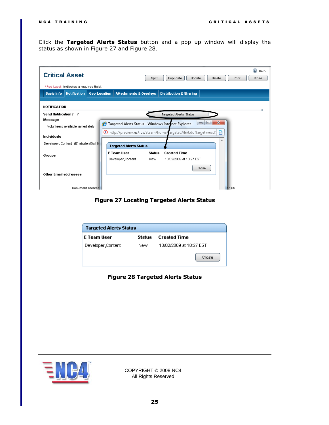Click the **Targeted Alerts Status** button and a pop up window will display the status as shown in [Figure 27](#page-24-0) and [Figure 28](#page-24-1).

| (?<br>Help<br>Close |
|---------------------|
|                     |
|                     |
|                     |
|                     |
|                     |
|                     |
|                     |
|                     |
|                     |
|                     |
|                     |
|                     |
|                     |
|                     |
|                     |
|                     |
|                     |

### **Figure 27 Locating Targeted Alerts Status**

<span id="page-24-1"></span><span id="page-24-0"></span>

| Targeted Alerts Status |        |                         |  |  |
|------------------------|--------|-------------------------|--|--|
| <b>E</b> Team User     | Status | <b>Created Time</b>     |  |  |
| Developer,Content      | New    | 10/02/2009 at 18:27 EST |  |  |
|                        |        | Close                   |  |  |

## **Figure 28 Targeted Alerts Status**

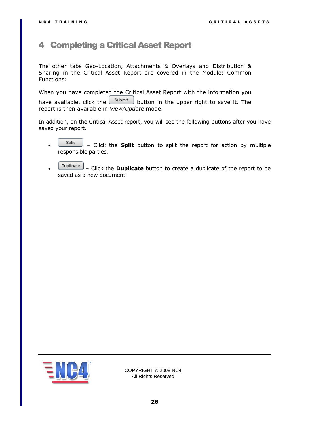# <span id="page-25-0"></span>4 Completing a Critical Asset Report

The other tabs Geo-Location, Attachments & Overlays and Distribution & Sharing in the Critical Asset Report are covered in the Module: Common Functions:

When you have completed the Critical Asset Report with the information you have available, click the  $\frac{\text{Submit}}{\text{b}}$  button in the upper right to save it. The report is then available in *View/Update* mode.

In addition, on the Critical Asset report, you will see the following buttons after you have saved your report.

- $\frac{\text{Split}}{\text{shift}}$  Click the **Split** button to split the report for action by multiple responsible parties.
- Click the **Duplicate** button to create a duplicate of the report to be saved as a new document.

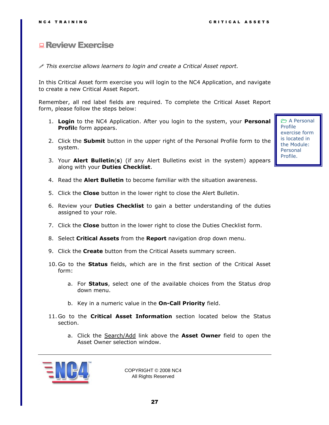# <span id="page-26-0"></span>**Review Exercise**

*This exercise allows learners to login and create a Critical Asset report.* 

In this Critical Asset form exercise you will login to the NC4 Application, and navigate to create a new Critical Asset Report.

Remember, all red label fields are required. To complete the Critical Asset Report form, please follow the steps below:

- 1. **Login** to the NC4 Application. After you login to the system, your **Personal Profil**e form appears.
- 2. Click the **Submit** button in the upper right of the Personal Profile form to the system.
- 3. Your **Alert Bulletin**(**s**) (if any Alert Bulletins exist in the system) appears along with your **Duties Checklist**.
- 4. Read the **Alert Bulletin** to become familiar with the situation awareness.
- 5. Click the **Close** button in the lower right to close the Alert Bulletin.
- 6. Review your **Duties Checklist** to gain a better understanding of the duties assigned to your role.
- 7. Click the **Close** button in the lower right to close the Duties Checklist form.
- 8. Select **Critical Assets** from the **Report** navigation drop down menu.
- 9. Click the **Create** button from the Critical Assets summary screen.
- 10. Go to the **Status** fields, which are in the first section of the Critical Asset form:
	- a. For **Status**, select one of the available choices from the Status drop down menu.
	- b. Key in a numeric value in the **On-Call Priority** field.
- 11. Go to the **Critical Asset Information** section located below the Status section.
	- a. Click the Search/Add link above the **Asset Owner** field to open the Asset Owner selection window.



COPYRIGHT © 2008 NC4 All Rights Reserved

 A Personal Profile exercise form is located in the Module: Personal Profile.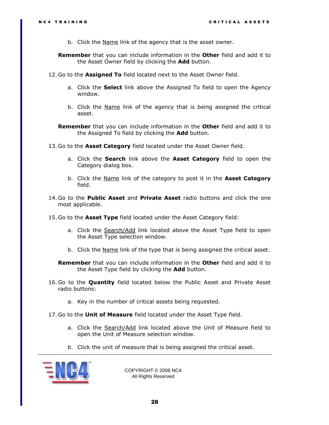b. Click the Name link of the agency that is the asset owner.

**Remember** that you can include information in the **Other** field and add it to the Asset Owner field by clicking the **Add** button.

- 12. Go to the **Assigned To** field located next to the Asset Owner field.
	- a. Click the **Select** link above the Assigned To field to open the Agency window.
	- b. Click the Name link of the agency that is being assigned the critical asset.

**Remember** that you can include information in the **Other** field and add it to the Assigned To field by clicking the **Add** button.

- 13. Go to the **Asset Category** field located under the Asset Owner field.
	- a. Click the **Search** link above the **Asset Category** field to open the Category dialog box.
	- b. Click the Name link of the category to post it in the **Asset Category** field.
- 14. Go to the **Public Asset** and **Private Asset** radio buttons and click the one most applicable.
- 15. Go to the **Asset Type** field located under the Asset Category field:
	- a. Click the **Search/Add** link located above the Asset Type field to open the Asset Type selection window.
	- b. Click the <u>Name</u> link of the type that is being assigned the critical asset.

**Remember** that you can include information in the **Other** field and add it to the Asset Type field by clicking the **Add** button.

- 16. Go to the **Quantity** field located below the Public Asset and Private Asset radio buttons:
	- a. Key in the number of critical assets being requested.
- 17. Go to the **Unit of Measure** field located under the Asset Type field.
	- a. Click the Search/Add link located above the Unit of Measure field to open the Unit of Measure selection window.
	- b. Click the unit of measure that is being assigned the critical asset.